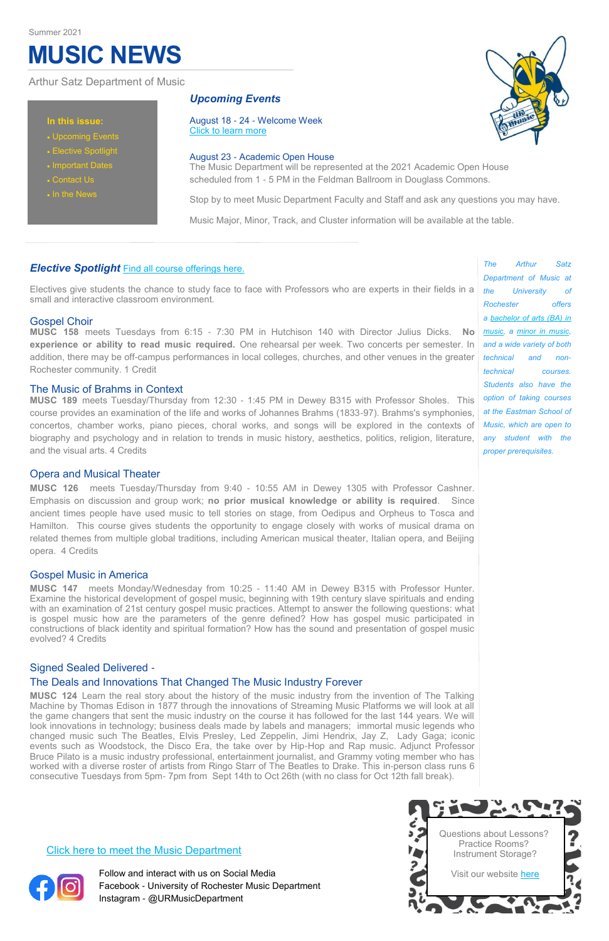# **MUSIC NEWS**

Electives give students the chance to study face to face with Professors who are experts in their fields in a small and interactive classroom environment.

# Gospel Choir

**MUSC 158** meets Tuesdays from 6:15 - 7:30 PM in Hutchison 140 with Director Julius Dicks. **No experience or ability to read music required.** One rehearsal per week. Two concerts per semester. In addition, there may be off-campus performances in local colleges, churches, and other venues in the greater Rochester community. 1 Credit

# The Music of Brahms in Context

**MUSC 189** meets Tuesday/Thursday from 12:30 - 1:45 PM in Dewey B315 with Professor Sholes. This course provides an examination of the life and works of Johannes Brahms (1833-97). Brahms's symphonies, concertos, chamber works, piano pieces, choral works, and songs will be explored in the contexts of biography and psychology and in relation to trends in music history, aesthetics, politics, religion, literature, and the visual arts. 4 Credits

# Opera and Musical Theater

**MUSC 126** meets Tuesday/Thursday from 9:40 - 10:55 AM in Dewey 1305 with Professor Cashner. Emphasis on discussion and group work; **no prior musical knowledge or ability is required**. Since ancient times people have used music to tell stories on stage, from Oedipus and Orpheus to Tosca and Hamilton. This course gives students the opportunity to engage closely with works of musical drama on related themes from multiple global traditions, including American musical theater, Italian opera, and Beijing opera. 4 Credits

# Gospel Music in America

**MUSC 147** meets Monday/Wednesday from 10:25 - 11:40 AM in Dewey B315 with Professor Hunter. Examine the historical development of gospel music, beginning with 19th century slave spirituals and ending with an examination of 21st century gospel music practices. Attempt to answer the following questions: what is gospel music how are the parameters of the genre defined? How has gospel music participated in constructions of black identity and spiritual formation? How has the sound and presentation of gospel music evolved? 4 Credits

# Signed Sealed Delivered - The Deals and Innovations That Changed The Music Industry Forever

**MUSC 124** Learn the real story about the history of the music industry from the invention of The Talking Machine by Thomas Edison in 1877 through the innovations of Streaming Music Platforms we will look at all the game changers that sent the music industry on the course it has followed for the last 144 years. We will look innovations in technology; business deals made by labels and managers; immortal music legends who changed music such The Beatles, Elvis Presley, Led Zeppelin, Jimi Hendrix, Jay Z, Lady Gaga; iconic events such as Woodstock, the Disco Era, the take over by Hip-Hop and Rap music. Adjunct Professor Bruce Pilato is a music industry professional, entertainment journalist, and Grammy voting member who has worked with a diverse roster of artists from Ringo Starr of The Beatles to Drake. This in-person class runs 6 consecutive Tuesdays from 5pm- 7pm from Sept 14th to Oct 26th (with no class for Oct 12th fall break).





### **In this issue:**

- Upcoming Events
- Elective Spotlight
- Important Dates
- Contact Us
- In the News

# Arthur Satz Department of Music

# *Upcoming Events*

August 18 - 24 - Welcome Week [Click to learn more](https://www.rochester.edu/college/orientation/first-year/welcome-weeks/fall-schedule.html)

### August 23 - Academic Open House

The Music Department will be represented at the 2021 Academic Open House scheduled from 1 - 5 PM in the Feldman Ballroom in Douglass Commons.

Stop by to meet Music Department Faculty and Staff and ask any questions you may have.

Music Major, Minor, Track, and Cluster information will be available at the table.

# *Elective Spotlight* [Find all course offerings here.](https://www.sas.rochester.edu/mur/undergraduate/courses.html)

#### [Click here to meet the Music Department](https://www.sas.rochester.edu/mur/people/index.html)



Follow and interact with us on Social Media Facebook - University of Rochester Music Department Instagram - @URMusicDepartment